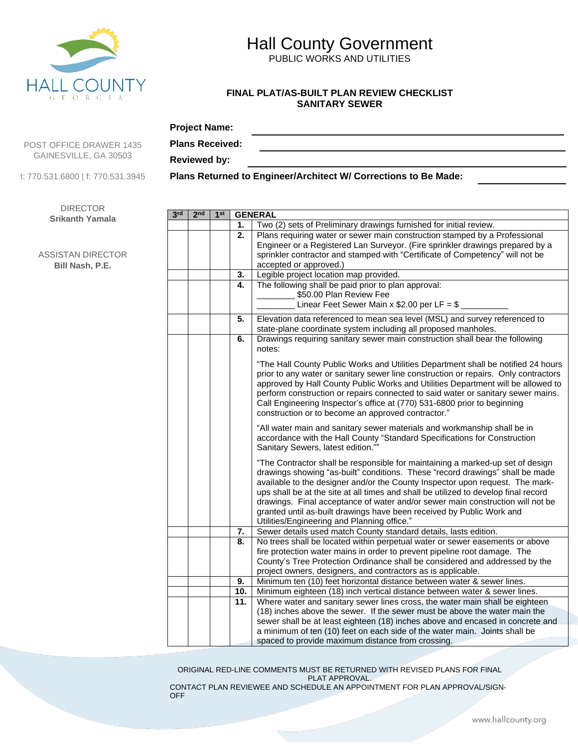

# Hall County Government

PUBLIC WORKS AND UTILITIES

#### **FINAL PLAT/AS-BUILT PLAN REVIEW CHECKLIST SANITARY SEWER**

### **Project Name:**

POST OFFICE DRAWER 1435 GAINESVILLE, GA 30503

t: 770.531.6800 | f: 770.531.3945

DIRECTOR **Srikanth Yamala**

ASSISTAN DIRECTOR **Bill Nash, P.E.**

| <b>Plans Received:</b> |                                                                                                                                                                                                                                                                                                             |
|------------------------|-------------------------------------------------------------------------------------------------------------------------------------------------------------------------------------------------------------------------------------------------------------------------------------------------------------|
| <b>Reviewed by:</b>    |                                                                                                                                                                                                                                                                                                             |
|                        | $\mathbf{P}$ , $\mathbf{P}$ , $\mathbf{P}$ , $\mathbf{P}$ , $\mathbf{P}$ , $\mathbf{P}$ , $\mathbf{P}$ , $\mathbf{P}$ , $\mathbf{P}$ , $\mathbf{P}$ , $\mathbf{P}$ , $\mathbf{P}$ , $\mathbf{P}$ , $\mathbf{P}$ , $\mathbf{P}$ , $\mathbf{P}$ , $\mathbf{P}$ , $\mathbf{P}$ , $\mathbf{P}$ , $\mathbf{P}$ , |

**Plans Returned to Engineer/Architect W/ Corrections to Be Made:**

| 3 <sup>rd</sup> | 2 <sub>nd</sub> | 1 <sup>st</sup> |     | <b>GENERAL</b>                                                                                                                                                                                                                                                                                                                                                                                                                                                                                                                                    |  |  |  |  |
|-----------------|-----------------|-----------------|-----|---------------------------------------------------------------------------------------------------------------------------------------------------------------------------------------------------------------------------------------------------------------------------------------------------------------------------------------------------------------------------------------------------------------------------------------------------------------------------------------------------------------------------------------------------|--|--|--|--|
|                 |                 |                 | 1.  | Two (2) sets of Preliminary drawings furnished for initial review.                                                                                                                                                                                                                                                                                                                                                                                                                                                                                |  |  |  |  |
|                 |                 |                 | 2.  | Plans requiring water or sewer main construction stamped by a Professional                                                                                                                                                                                                                                                                                                                                                                                                                                                                        |  |  |  |  |
|                 |                 |                 |     | Engineer or a Registered Lan Surveyor. (Fire sprinkler drawings prepared by a                                                                                                                                                                                                                                                                                                                                                                                                                                                                     |  |  |  |  |
|                 |                 |                 |     | sprinkler contractor and stamped with "Certificate of Competency" will not be<br>accepted or approved.)                                                                                                                                                                                                                                                                                                                                                                                                                                           |  |  |  |  |
|                 |                 |                 | 3.  | Legible project location map provided.                                                                                                                                                                                                                                                                                                                                                                                                                                                                                                            |  |  |  |  |
|                 |                 |                 | 4.  | The following shall be paid prior to plan approval:                                                                                                                                                                                                                                                                                                                                                                                                                                                                                               |  |  |  |  |
|                 |                 |                 |     | \$50.00 Plan Review Fee                                                                                                                                                                                                                                                                                                                                                                                                                                                                                                                           |  |  |  |  |
|                 |                 |                 |     | Linear Feet Sewer Main x \$2.00 per LF = \$                                                                                                                                                                                                                                                                                                                                                                                                                                                                                                       |  |  |  |  |
|                 |                 |                 | 5.  | Elevation data referenced to mean sea level (MSL) and survey referenced to                                                                                                                                                                                                                                                                                                                                                                                                                                                                        |  |  |  |  |
|                 |                 |                 |     | state-plane coordinate system including all proposed manholes.                                                                                                                                                                                                                                                                                                                                                                                                                                                                                    |  |  |  |  |
|                 |                 |                 | 6.  | Drawings requiring sanitary sewer main construction shall bear the following<br>notes:                                                                                                                                                                                                                                                                                                                                                                                                                                                            |  |  |  |  |
|                 |                 |                 |     | "The Hall County Public Works and Utilities Department shall be notified 24 hours<br>prior to any water or sanitary sewer line construction or repairs. Only contractors<br>approved by Hall County Public Works and Utilities Department will be allowed to<br>perform construction or repairs connected to said water or sanitary sewer mains.<br>Call Engineering Inspector's office at (770) 531-6800 prior to beginning<br>construction or to become an approved contractor."                                                                |  |  |  |  |
|                 |                 |                 |     | "All water main and sanitary sewer materials and workmanship shall be in<br>accordance with the Hall County "Standard Specifications for Construction<br>Sanitary Sewers, latest edition.""                                                                                                                                                                                                                                                                                                                                                       |  |  |  |  |
|                 |                 |                 |     | "The Contractor shall be responsible for maintaining a marked-up set of design<br>drawings showing "as-built" conditions. These "record drawings" shall be made<br>available to the designer and/or the County Inspector upon request. The mark-<br>ups shall be at the site at all times and shall be utilized to develop final record<br>drawings. Final acceptance of water and/or sewer main construction will not be<br>granted until as-built drawings have been received by Public Work and<br>Utilities/Engineering and Planning office." |  |  |  |  |
|                 |                 |                 | 7.  | Sewer details used match County standard details, lasts edition.                                                                                                                                                                                                                                                                                                                                                                                                                                                                                  |  |  |  |  |
|                 |                 |                 | 8.  | No trees shall be located within perpetual water or sewer easements or above                                                                                                                                                                                                                                                                                                                                                                                                                                                                      |  |  |  |  |
|                 |                 |                 |     | fire protection water mains in order to prevent pipeline root damage. The                                                                                                                                                                                                                                                                                                                                                                                                                                                                         |  |  |  |  |
|                 |                 |                 |     | County's Tree Protection Ordinance shall be considered and addressed by the                                                                                                                                                                                                                                                                                                                                                                                                                                                                       |  |  |  |  |
|                 |                 |                 | 9.  | project owners, designers, and contractors as is applicable.                                                                                                                                                                                                                                                                                                                                                                                                                                                                                      |  |  |  |  |
|                 |                 |                 | 10. | Minimum ten (10) feet horizontal distance between water & sewer lines.<br>Minimum eighteen (18) inch vertical distance between water & sewer lines.                                                                                                                                                                                                                                                                                                                                                                                               |  |  |  |  |
|                 |                 |                 | 11. | Where water and sanitary sewer lines cross, the water main shall be eighteen                                                                                                                                                                                                                                                                                                                                                                                                                                                                      |  |  |  |  |
|                 |                 |                 |     | (18) inches above the sewer. If the sewer must be above the water main the                                                                                                                                                                                                                                                                                                                                                                                                                                                                        |  |  |  |  |
|                 |                 |                 |     | sewer shall be at least eighteen (18) inches above and encased in concrete and                                                                                                                                                                                                                                                                                                                                                                                                                                                                    |  |  |  |  |
|                 |                 |                 |     | a minimum of ten (10) feet on each side of the water main. Joints shall be                                                                                                                                                                                                                                                                                                                                                                                                                                                                        |  |  |  |  |
|                 |                 |                 |     | spaced to provide maximum distance from crossing.                                                                                                                                                                                                                                                                                                                                                                                                                                                                                                 |  |  |  |  |

ORIGINAL RED-LINE COMMENTS MUST BE RETURNED WITH REVISED PLANS FOR FINAL PLAT APPROVAL.

CONTACT PLAN REVIEWEE AND SCHEDULE AN APPOINTMENT FOR PLAN APPROVAL/SIGN-OFF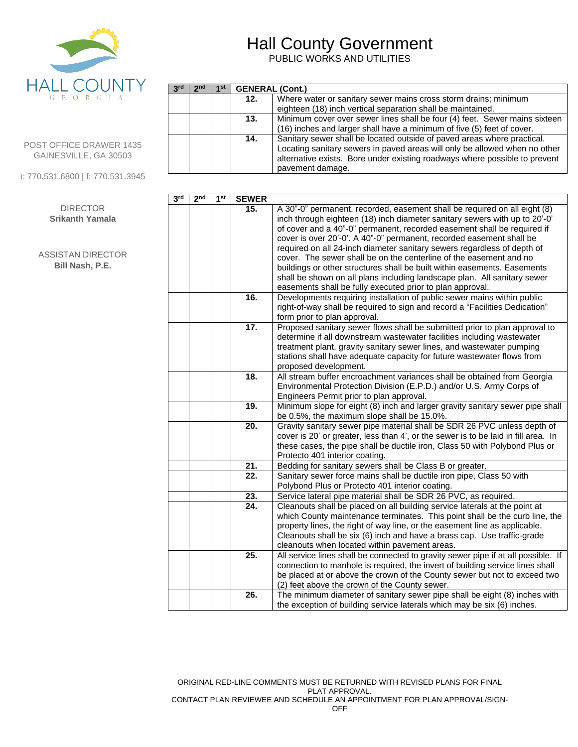

**3 rd 2**

 $2<sup>nd</sup>$  | 1<sup>st</sup>

**GENERAL (Cont.)**<br>**12.** Where **v** 

# Hall County Government

PUBLIC WORKS AND UTILITIES

pavement damage.

**12.** Where water or sanitary sewer mains cross storm drains; minimum

**13.** Minimum cover over sewer lines shall be four (4) feet. Sewer mains sixteen (16) inches and larger shall have a minimum of five (5) feet of cover. **14.** Sanitary sewer shall be located outside of paved areas where practical.

Locating sanitary sewers in paved areas will only be allowed when no other alternative exists. Bore under existing roadways where possible to prevent

eighteen (18) inch vertical separation shall be maintained.

| <b>POST OFFICE DRAWER 1435</b> |  |
|--------------------------------|--|
| GAINESVILLE, GA 30503          |  |

t: 770.531.6800 | f: 770.531.3945

DIRECTOR **Srikanth Yamala**

ASSISTAN DIRECTOR **Bill Nash, P.E.**

| 3 <sup>rd</sup> | 2 <sub>nd</sub> | 1 <sup>st</sup> | <b>SEWER</b>      |                                                                                                                                                                                                                                                                                                                                                                                                                                                                                                                                                                                                                                                                                                                                                             |
|-----------------|-----------------|-----------------|-------------------|-------------------------------------------------------------------------------------------------------------------------------------------------------------------------------------------------------------------------------------------------------------------------------------------------------------------------------------------------------------------------------------------------------------------------------------------------------------------------------------------------------------------------------------------------------------------------------------------------------------------------------------------------------------------------------------------------------------------------------------------------------------|
|                 |                 |                 | 15.<br>16.        | A 30"-0" permanent, recorded, easement shall be required on all eight (8)<br>inch through eighteen (18) inch diameter sanitary sewers with up to 20'-0'<br>of cover and a 40"-0" permanent, recorded easement shall be required if<br>cover is over 20'-0'. A 40"-0" permanent, recorded easement shall be<br>required on all 24-inch diameter sanitary sewers regardless of depth of<br>cover. The sewer shall be on the centerline of the easement and no<br>buildings or other structures shall be built within easements. Easements<br>shall be shown on all plans including landscape plan. All sanitary sewer<br>easements shall be fully executed prior to plan approval.<br>Developments requiring installation of public sewer mains within public |
|                 |                 |                 |                   | right-of-way shall be required to sign and record a "Facilities Dedication"<br>form prior to plan approval.                                                                                                                                                                                                                                                                                                                                                                                                                                                                                                                                                                                                                                                 |
|                 |                 |                 | $\overline{17}$ . | Proposed sanitary sewer flows shall be submitted prior to plan approval to<br>determine if all downstream wastewater facilities including wastewater<br>treatment plant, gravity sanitary sewer lines, and wastewater pumping<br>stations shall have adequate capacity for future wastewater flows from<br>proposed development.                                                                                                                                                                                                                                                                                                                                                                                                                            |
|                 |                 |                 | 18.               | All stream buffer encroachment variances shall be obtained from Georgia<br>Environmental Protection Division (E.P.D.) and/or U.S. Army Corps of<br>Engineers Permit prior to plan approval.                                                                                                                                                                                                                                                                                                                                                                                                                                                                                                                                                                 |
|                 |                 |                 | 19.               | Minimum slope for eight (8) inch and larger gravity sanitary sewer pipe shall<br>be 0.5%, the maximum slope shall be 15.0%.                                                                                                                                                                                                                                                                                                                                                                                                                                                                                                                                                                                                                                 |
|                 |                 |                 | 20.               | Gravity sanitary sewer pipe material shall be SDR 26 PVC unless depth of<br>cover is 20' or greater, less than 4', or the sewer is to be laid in fill area. In<br>these cases, the pipe shall be ductile iron, Class 50 with Polybond Plus or<br>Protecto 401 interior coating.                                                                                                                                                                                                                                                                                                                                                                                                                                                                             |
|                 |                 |                 | $\overline{21}$ . | Bedding for sanitary sewers shall be Class B or greater.                                                                                                                                                                                                                                                                                                                                                                                                                                                                                                                                                                                                                                                                                                    |
|                 |                 |                 | 22.               | Sanitary sewer force mains shall be ductile iron pipe, Class 50 with<br>Polybond Plus or Protecto 401 interior coating.                                                                                                                                                                                                                                                                                                                                                                                                                                                                                                                                                                                                                                     |
|                 |                 |                 | 23.               | Service lateral pipe material shall be SDR 26 PVC, as required.                                                                                                                                                                                                                                                                                                                                                                                                                                                                                                                                                                                                                                                                                             |
|                 |                 |                 | 24.               | Cleanouts shall be placed on all building service laterals at the point at<br>which County maintenance terminates. This point shall be the curb line, the<br>property lines, the right of way line, or the easement line as applicable.<br>Cleanouts shall be six (6) inch and have a brass cap. Use traffic-grade<br>cleanouts when located within pavement areas.                                                                                                                                                                                                                                                                                                                                                                                         |
|                 |                 |                 | $\overline{25}$ . | All service lines shall be connected to gravity sewer pipe if at all possible. If<br>connection to manhole is required, the invert of building service lines shall<br>be placed at or above the crown of the County sewer but not to exceed two<br>(2) feet above the crown of the County sewer.                                                                                                                                                                                                                                                                                                                                                                                                                                                            |
|                 |                 |                 | 26.               | The minimum diameter of sanitary sewer pipe shall be eight (8) inches with<br>the exception of building service laterals which may be six (6) inches.                                                                                                                                                                                                                                                                                                                                                                                                                                                                                                                                                                                                       |

ORIGINAL RED-LINE COMMENTS MUST BE RETURNED WITH REVISED PLANS FOR FINAL PLAT APPROVAL. CONTACT PLAN REVIEWEE AND SCHEDULE AN APPOINTMENT FOR PLAN APPROVAL/SIGN-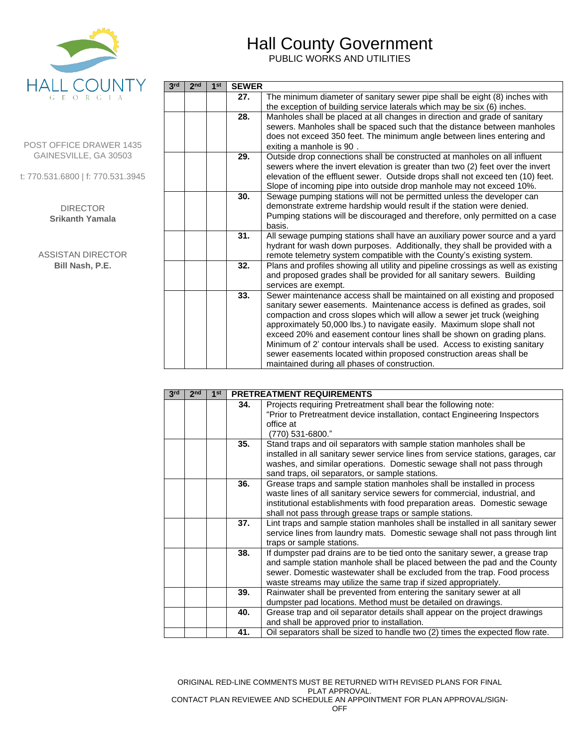

# Hall County Government

PUBLIC WORKS AND UTILITIES

POST OFFICE DRAWER 1435 GAINESVILLE, GA 30503

t: 770.531.6800 | f: 770.531.3945

#### DIRECTOR **Srikanth Yamala**

ASSISTAN DIRECTOR **Bill Nash, P.E.**

| 3 <sup>rd</sup> | 2 <sub>nd</sub> | 1 <sup>st</sup> | <b>SEWER</b> |                                                                                                                                                 |
|-----------------|-----------------|-----------------|--------------|-------------------------------------------------------------------------------------------------------------------------------------------------|
|                 |                 |                 | 27.          | The minimum diameter of sanitary sewer pipe shall be eight (8) inches with                                                                      |
|                 |                 |                 |              | the exception of building service laterals which may be six (6) inches.                                                                         |
|                 |                 |                 | 28.          | Manholes shall be placed at all changes in direction and grade of sanitary                                                                      |
|                 |                 |                 |              | sewers. Manholes shall be spaced such that the distance between manholes                                                                        |
|                 |                 |                 |              | does not exceed 350 feet. The minimum angle between lines entering and                                                                          |
|                 |                 |                 |              | exiting a manhole is 90.                                                                                                                        |
|                 |                 |                 | 29.          | Outside drop connections shall be constructed at manholes on all influent                                                                       |
|                 |                 |                 |              | sewers where the invert elevation is greater than two (2) feet over the invert                                                                  |
|                 |                 |                 |              | elevation of the effluent sewer. Outside drops shall not exceed ten (10) feet.                                                                  |
|                 |                 |                 |              | Slope of incoming pipe into outside drop manhole may not exceed 10%.                                                                            |
|                 |                 |                 | 30.          | Sewage pumping stations will not be permitted unless the developer can<br>demonstrate extreme hardship would result if the station were denied. |
|                 |                 |                 |              | Pumping stations will be discouraged and therefore, only permitted on a case                                                                    |
|                 |                 |                 |              | basis.                                                                                                                                          |
|                 |                 |                 | 31.          | All sewage pumping stations shall have an auxiliary power source and a yard                                                                     |
|                 |                 |                 |              | hydrant for wash down purposes. Additionally, they shall be provided with a                                                                     |
|                 |                 |                 |              | remote telemetry system compatible with the County's existing system.                                                                           |
|                 |                 |                 | 32.          | Plans and profiles showing all utility and pipeline crossings as well as existing                                                               |
|                 |                 |                 |              | and proposed grades shall be provided for all sanitary sewers. Building                                                                         |
|                 |                 |                 |              | services are exempt.                                                                                                                            |
|                 |                 |                 | 33.          | Sewer maintenance access shall be maintained on all existing and proposed                                                                       |
|                 |                 |                 |              | sanitary sewer easements. Maintenance access is defined as grades, soil                                                                         |
|                 |                 |                 |              | compaction and cross slopes which will allow a sewer jet truck (weighing                                                                        |
|                 |                 |                 |              | approximately 50,000 lbs.) to navigate easily. Maximum slope shall not                                                                          |
|                 |                 |                 |              | exceed 20% and easement contour lines shall be shown on grading plans.                                                                          |
|                 |                 |                 |              | Minimum of 2' contour intervals shall be used. Access to existing sanitary                                                                      |
|                 |                 |                 |              | sewer easements located within proposed construction areas shall be                                                                             |
|                 |                 |                 |              | maintained during all phases of construction.                                                                                                   |

| 3 <sup>rd</sup> | 2 <sub>nd</sub> | 1 <sup>st</sup> | <b>PRETREATMENT REQUIREMENTS</b> |                                                                                   |  |
|-----------------|-----------------|-----------------|----------------------------------|-----------------------------------------------------------------------------------|--|
|                 |                 |                 | 34.                              | Projects requiring Pretreatment shall bear the following note:                    |  |
|                 |                 |                 |                                  | "Prior to Pretreatment device installation, contact Engineering Inspectors        |  |
|                 |                 |                 |                                  | office at                                                                         |  |
|                 |                 |                 |                                  | (770) 531-6800."                                                                  |  |
|                 |                 |                 | 35.                              | Stand traps and oil separators with sample station manholes shall be              |  |
|                 |                 |                 |                                  | installed in all sanitary sewer service lines from service stations, garages, car |  |
|                 |                 |                 |                                  | washes, and similar operations. Domestic sewage shall not pass through            |  |
|                 |                 |                 |                                  | sand traps, oil separators, or sample stations.                                   |  |
|                 |                 |                 | 36.                              | Grease traps and sample station manholes shall be installed in process            |  |
|                 |                 |                 |                                  | waste lines of all sanitary service sewers for commercial, industrial, and        |  |
|                 |                 |                 |                                  | institutional establishments with food preparation areas. Domestic sewage         |  |
|                 |                 |                 |                                  | shall not pass through grease traps or sample stations.                           |  |
|                 |                 |                 | 37.                              | Lint traps and sample station manholes shall be installed in all sanitary sewer   |  |
|                 |                 |                 |                                  | service lines from laundry mats. Domestic sewage shall not pass through lint      |  |
|                 |                 |                 |                                  | traps or sample stations.                                                         |  |
|                 |                 |                 | 38.                              | If dumpster pad drains are to be tied onto the sanitary sewer, a grease trap      |  |
|                 |                 |                 |                                  | and sample station manhole shall be placed between the pad and the County         |  |
|                 |                 |                 |                                  | sewer. Domestic wastewater shall be excluded from the trap. Food process          |  |
|                 |                 |                 |                                  | waste streams may utilize the same trap if sized appropriately.                   |  |
|                 |                 |                 | 39.                              | Rainwater shall be prevented from entering the sanitary sewer at all              |  |
|                 |                 |                 |                                  | dumpster pad locations. Method must be detailed on drawings.                      |  |
|                 |                 |                 | 40.                              | Grease trap and oil separator details shall appear on the project drawings        |  |
|                 |                 |                 |                                  | and shall be approved prior to installation.                                      |  |
|                 |                 |                 | 41.                              | Oil separators shall be sized to handle two (2) times the expected flow rate.     |  |

ORIGINAL RED-LINE COMMENTS MUST BE RETURNED WITH REVISED PLANS FOR FINAL PLAT APPROVAL. CONTACT PLAN REVIEWEE AND SCHEDULE AN APPOINTMENT FOR PLAN APPROVAL/SIGN-